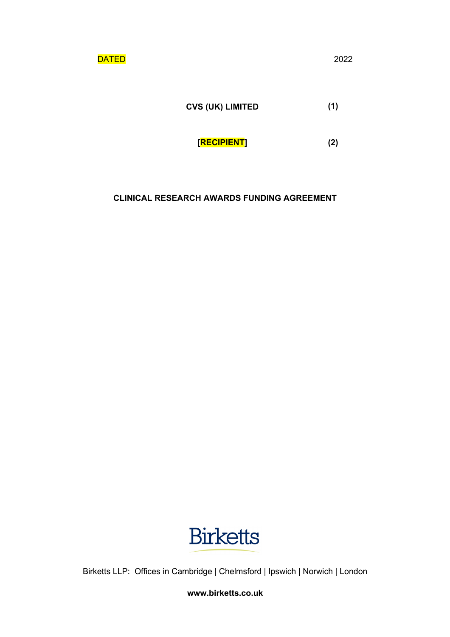**DATED** 2022

**CVS (UK) LIMITED (1)**

**[RECIPIENT] (2)**

# **CLINICAL RESEARCH AWARDS FUNDING AGREEMENT**



Birketts LLP: Offices in Cambridge | Chelmsford | Ipswich | Norwich | London

**www.birketts.co.uk**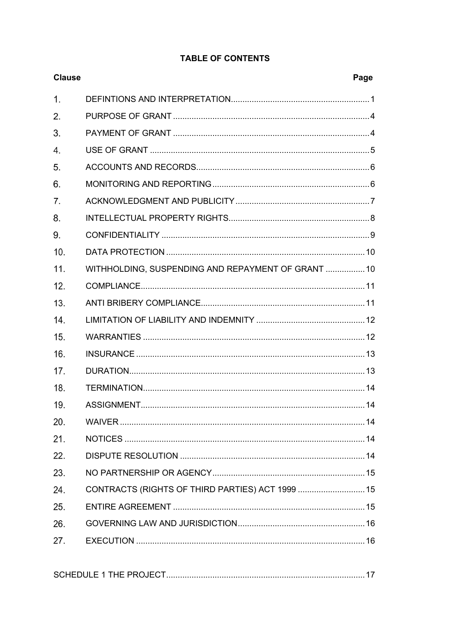|                |                                                    | г аче |
|----------------|----------------------------------------------------|-------|
| $\mathbf{1}$ . |                                                    |       |
| 2.             |                                                    |       |
| 3.             |                                                    |       |
| 4.             |                                                    |       |
| 5.             |                                                    |       |
| 6.             |                                                    |       |
| 7.             |                                                    |       |
| 8.             |                                                    |       |
| 9.             |                                                    |       |
| 10.            |                                                    |       |
| 11.            | WITHHOLDING, SUSPENDING AND REPAYMENT OF GRANT  10 |       |
|                |                                                    |       |

# **TABLE OF CONTENTS**

Page

**Clause** 

| 9.  |                                                    |  |
|-----|----------------------------------------------------|--|
| 10. |                                                    |  |
| 11. | WITHHOLDING, SUSPENDING AND REPAYMENT OF GRANT  10 |  |
| 12. |                                                    |  |
| 13. |                                                    |  |
| 14. |                                                    |  |
| 15. |                                                    |  |
| 16. |                                                    |  |
| 17. |                                                    |  |
| 18. |                                                    |  |
| 19. |                                                    |  |
| 20. |                                                    |  |
| 21. |                                                    |  |
| 22. |                                                    |  |
| 23. |                                                    |  |
| 24. | CONTRACTS (RIGHTS OF THIRD PARTIES) ACT 1999  15   |  |
| 25. |                                                    |  |
| 26. |                                                    |  |
| 27. |                                                    |  |
|     |                                                    |  |

|--|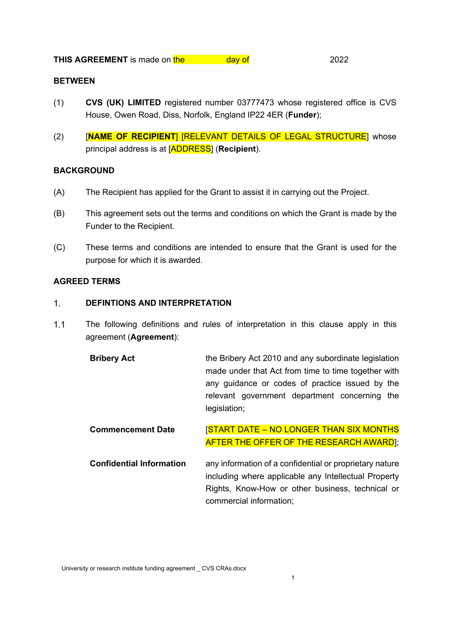# **BETWEEN**

- (1) **CVS (UK) LIMITED** registered number 03777473 whose registered office is CVS House, Owen Road, Diss, Norfolk, England IP22 4ER (**Funder**);
- (2) [**NAME OF RECIPIENT**] [RELEVANT DETAILS OF LEGAL STRUCTURE] whose principal address is at [ADDRESS] (**Recipient**).

# **BACKGROUND**

- (A) The Recipient has applied for the Grant to assist it in carrying out the Project.
- (B) This agreement sets out the terms and conditions on which the Grant is made by the Funder to the Recipient.
- (C) These terms and conditions are intended to ensure that the Grant is used for the purpose for which it is awarded.

# **AGREED TERMS**

#### $1<sup>1</sup>$ **DEFINTIONS AND INTERPRETATION**

- $1.1$ The following definitions and rules of interpretation in this clause apply in this agreement (**Agreement**):
	- **Bribery Act** the Bribery Act 2010 and any subordinate legislation made under that Act from time to time together with any guidance or codes of practice issued by the relevant government department concerning the legislation;

**Commencement Date** [START DATE – NO LONGER THAN SIX MONTHS **AFTER THE OFFER OF THE RESEARCH AWARD**];

**Confidential Information** any information of a confidential or proprietary nature including where applicable any Intellectual Property Rights, Know-How or other business, technical or commercial information;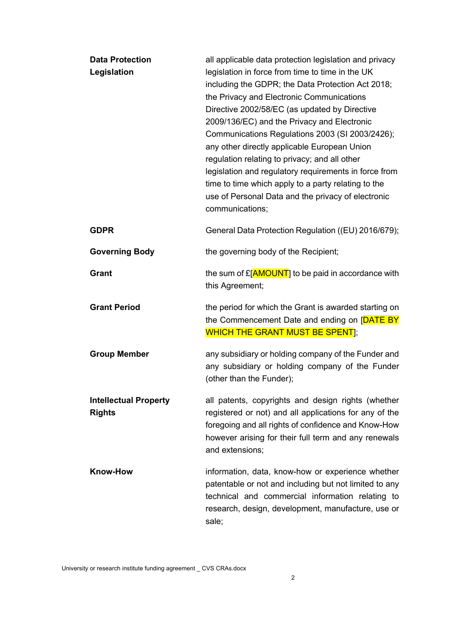| <b>Data Protection</b><br>Legislation         | all applicable data protection legislation and privacy<br>legislation in force from time to time in the UK<br>including the GDPR; the Data Protection Act 2018;<br>the Privacy and Electronic Communications<br>Directive 2002/58/EC (as updated by Directive<br>2009/136/EC) and the Privacy and Electronic<br>Communications Regulations 2003 (SI 2003/2426);<br>any other directly applicable European Union<br>regulation relating to privacy; and all other<br>legislation and regulatory requirements in force from<br>time to time which apply to a party relating to the<br>use of Personal Data and the privacy of electronic<br>communications; |
|-----------------------------------------------|-----------------------------------------------------------------------------------------------------------------------------------------------------------------------------------------------------------------------------------------------------------------------------------------------------------------------------------------------------------------------------------------------------------------------------------------------------------------------------------------------------------------------------------------------------------------------------------------------------------------------------------------------------------|
| <b>GDPR</b>                                   | General Data Protection Regulation ((EU) 2016/679);                                                                                                                                                                                                                                                                                                                                                                                                                                                                                                                                                                                                       |
| <b>Governing Body</b>                         | the governing body of the Recipient;                                                                                                                                                                                                                                                                                                                                                                                                                                                                                                                                                                                                                      |
| Grant                                         | the sum of £[AMOUNT] to be paid in accordance with<br>this Agreement;                                                                                                                                                                                                                                                                                                                                                                                                                                                                                                                                                                                     |
| <b>Grant Period</b>                           | the period for which the Grant is awarded starting on<br>the Commencement Date and ending on [DATE BY<br><b>WHICH THE GRANT MUST BE SPENT</b> ];                                                                                                                                                                                                                                                                                                                                                                                                                                                                                                          |
| <b>Group Member</b>                           | any subsidiary or holding company of the Funder and<br>any subsidiary or holding company of the Funder<br>(other than the Funder);                                                                                                                                                                                                                                                                                                                                                                                                                                                                                                                        |
| <b>Intellectual Property</b><br><b>Rights</b> | all patents, copyrights and design rights (whether<br>registered or not) and all applications for any of the<br>foregoing and all rights of confidence and Know-How<br>however arising for their full term and any renewals<br>and extensions;                                                                                                                                                                                                                                                                                                                                                                                                            |
| <b>Know-How</b>                               | information, data, know-how or experience whether<br>patentable or not and including but not limited to any<br>technical and commercial information relating to<br>research, design, development, manufacture, use or<br>sale;                                                                                                                                                                                                                                                                                                                                                                                                                            |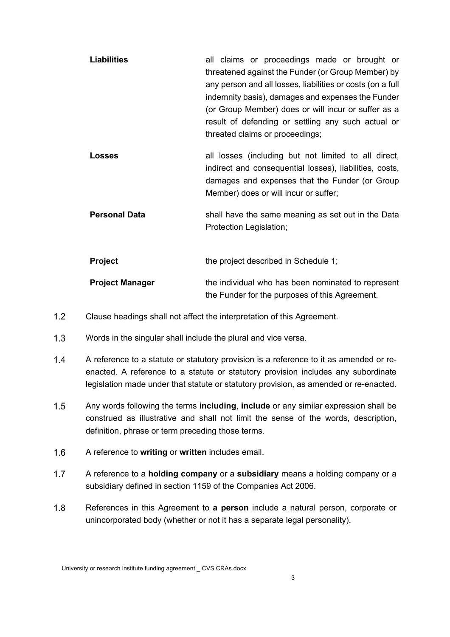| <b>Liabilities</b>     | all claims or proceedings made or brought or<br>threatened against the Funder (or Group Member) by<br>any person and all losses, liabilities or costs (on a full<br>indemnity basis), damages and expenses the Funder<br>(or Group Member) does or will incur or suffer as a<br>result of defending or settling any such actual or<br>threated claims or proceedings; |  |
|------------------------|-----------------------------------------------------------------------------------------------------------------------------------------------------------------------------------------------------------------------------------------------------------------------------------------------------------------------------------------------------------------------|--|
| Losses                 | all losses (including but not limited to all direct,<br>indirect and consequential losses), liabilities, costs,<br>damages and expenses that the Funder (or Group<br>Member) does or will incur or suffer;                                                                                                                                                            |  |
| <b>Personal Data</b>   | shall have the same meaning as set out in the Data<br>Protection Legislation;                                                                                                                                                                                                                                                                                         |  |
| <b>Project</b>         | the project described in Schedule 1;                                                                                                                                                                                                                                                                                                                                  |  |
| <b>Project Manager</b> | the individual who has been nominated to represent<br>the Funder for the purposes of this Agreement.                                                                                                                                                                                                                                                                  |  |

- $1.2$ Clause headings shall not affect the interpretation of this Agreement.
- $1.3$ Words in the singular shall include the plural and vice versa.
- $1.4$ A reference to a statute or statutory provision is a reference to it as amended or reenacted. A reference to a statute or statutory provision includes any subordinate legislation made under that statute or statutory provision, as amended or re-enacted.
- $1.5$ Any words following the terms **including**, **include** or any similar expression shall be construed as illustrative and shall not limit the sense of the words, description, definition, phrase or term preceding those terms.
- $1.6$ A reference to **writing** or **written** includes email.
- $1.7$ A reference to a **holding company** or a **subsidiary** means a holding company or a subsidiary defined in section 1159 of the Companies Act 2006.
- $1.8$ References in this Agreement to **a person** include a natural person, corporate or unincorporated body (whether or not it has a separate legal personality).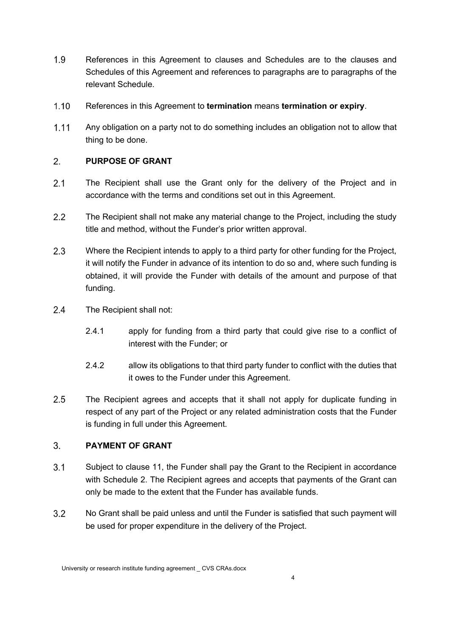- $1.9$ References in this Agreement to clauses and Schedules are to the clauses and Schedules of this Agreement and references to paragraphs are to paragraphs of the relevant Schedule.
- $1.10$ References in this Agreement to **termination** means **termination or expiry**.
- $1.11$ Any obligation on a party not to do something includes an obligation not to allow that thing to be done.

#### $2.$ **PURPOSE OF GRANT**

- $2.1$ The Recipient shall use the Grant only for the delivery of the Project and in accordance with the terms and conditions set out in this Agreement.
- $2.2$ The Recipient shall not make any material change to the Project, including the study title and method, without the Funder's prior written approval.
- $2.3$ Where the Recipient intends to apply to a third party for other funding for the Project, it will notify the Funder in advance of its intention to do so and, where such funding is obtained, it will provide the Funder with details of the amount and purpose of that funding.
- $2.4$ The Recipient shall not:
	- 2.4.1 apply for funding from a third party that could give rise to a conflict of interest with the Funder; or
	- 2.4.2 allow its obligations to that third party funder to conflict with the duties that it owes to the Funder under this Agreement.
- $2.5$ The Recipient agrees and accepts that it shall not apply for duplicate funding in respect of any part of the Project or any related administration costs that the Funder is funding in full under this Agreement.

# $3<sub>1</sub>$ **PAYMENT OF GRANT**

- $3.1$ Subject to clause 11, the Funder shall pay the Grant to the Recipient in accordance with Schedule 2. The Recipient agrees and accepts that payments of the Grant can only be made to the extent that the Funder has available funds.
- $3.2$ No Grant shall be paid unless and until the Funder is satisfied that such payment will be used for proper expenditure in the delivery of the Project.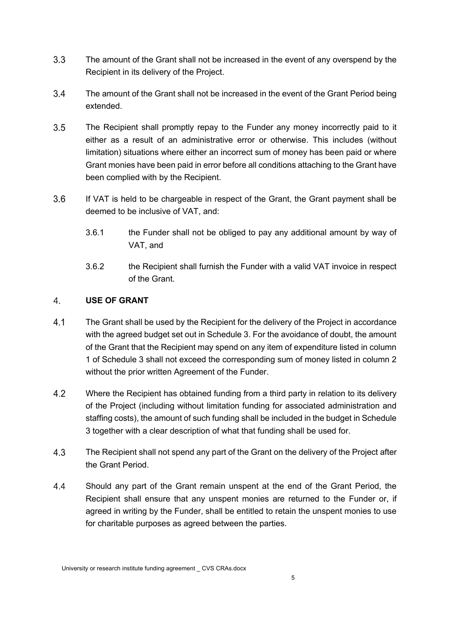- $3.3$ The amount of the Grant shall not be increased in the event of any overspend by the Recipient in its delivery of the Project.
- $3.4$ The amount of the Grant shall not be increased in the event of the Grant Period being extended.
- $3.5$ The Recipient shall promptly repay to the Funder any money incorrectly paid to it either as a result of an administrative error or otherwise. This includes (without limitation) situations where either an incorrect sum of money has been paid or where Grant monies have been paid in error before all conditions attaching to the Grant have been complied with by the Recipient.
- $3.6$ If VAT is held to be chargeable in respect of the Grant, the Grant payment shall be deemed to be inclusive of VAT, and:
	- 3.6.1 the Funder shall not be obliged to pay any additional amount by way of VAT, and
	- 3.6.2 the Recipient shall furnish the Funder with a valid VAT invoice in respect of the Grant.

# $\overline{4}$ . **USE OF GRANT**

- $4.1$ The Grant shall be used by the Recipient for the delivery of the Project in accordance with the agreed budget set out in Schedule 3. For the avoidance of doubt, the amount of the Grant that the Recipient may spend on any item of expenditure listed in column 1 of Schedule 3 shall not exceed the corresponding sum of money listed in column 2 without the prior written Agreement of the Funder.
- $4.2$ Where the Recipient has obtained funding from a third party in relation to its delivery of the Project (including without limitation funding for associated administration and staffing costs), the amount of such funding shall be included in the budget in Schedule 3 together with a clear description of what that funding shall be used for.
- $4.3$ The Recipient shall not spend any part of the Grant on the delivery of the Project after the Grant Period.
- 44 Should any part of the Grant remain unspent at the end of the Grant Period, the Recipient shall ensure that any unspent monies are returned to the Funder or, if agreed in writing by the Funder, shall be entitled to retain the unspent monies to use for charitable purposes as agreed between the parties.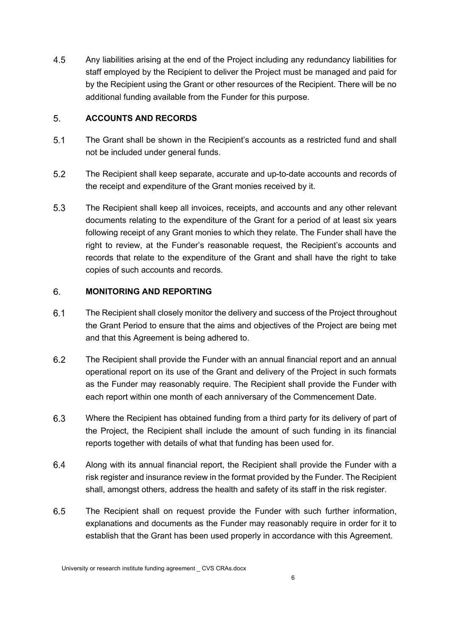4.5 Any liabilities arising at the end of the Project including any redundancy liabilities for staff employed by the Recipient to deliver the Project must be managed and paid for by the Recipient using the Grant or other resources of the Recipient. There will be no additional funding available from the Funder for this purpose.

# 5. **ACCOUNTS AND RECORDS**

- $5.1$ The Grant shall be shown in the Recipient's accounts as a restricted fund and shall not be included under general funds.
- $5.2$ The Recipient shall keep separate, accurate and up-to-date accounts and records of the receipt and expenditure of the Grant monies received by it.
- $5.3$ The Recipient shall keep all invoices, receipts, and accounts and any other relevant documents relating to the expenditure of the Grant for a period of at least six years following receipt of any Grant monies to which they relate. The Funder shall have the right to review, at the Funder's reasonable request, the Recipient's accounts and records that relate to the expenditure of the Grant and shall have the right to take copies of such accounts and records.

# 6. **MONITORING AND REPORTING**

- $6.1$ The Recipient shall closely monitor the delivery and success of the Project throughout the Grant Period to ensure that the aims and objectives of the Project are being met and that this Agreement is being adhered to.
- 6.2 The Recipient shall provide the Funder with an annual financial report and an annual operational report on its use of the Grant and delivery of the Project in such formats as the Funder may reasonably require. The Recipient shall provide the Funder with each report within one month of each anniversary of the Commencement Date.
- 6.3 Where the Recipient has obtained funding from a third party for its delivery of part of the Project, the Recipient shall include the amount of such funding in its financial reports together with details of what that funding has been used for.
- 6.4 Along with its annual financial report, the Recipient shall provide the Funder with a risk register and insurance review in the format provided by the Funder. The Recipient shall, amongst others, address the health and safety of its staff in the risk register.
- 6.5 The Recipient shall on request provide the Funder with such further information, explanations and documents as the Funder may reasonably require in order for it to establish that the Grant has been used properly in accordance with this Agreement.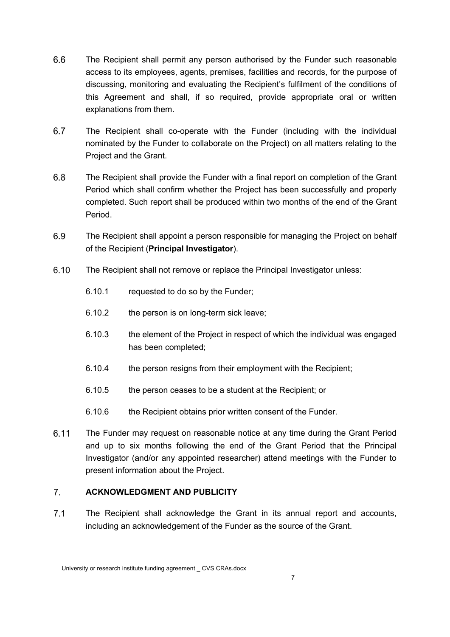- 6.6 The Recipient shall permit any person authorised by the Funder such reasonable access to its employees, agents, premises, facilities and records, for the purpose of discussing, monitoring and evaluating the Recipient's fulfilment of the conditions of this Agreement and shall, if so required, provide appropriate oral or written explanations from them.
- 6.7 The Recipient shall co-operate with the Funder (including with the individual nominated by the Funder to collaborate on the Project) on all matters relating to the Project and the Grant.
- $6.8$ The Recipient shall provide the Funder with a final report on completion of the Grant Period which shall confirm whether the Project has been successfully and properly completed. Such report shall be produced within two months of the end of the Grant Period.
- 6.9 The Recipient shall appoint a person responsible for managing the Project on behalf of the Recipient (**Principal Investigator**).
- $6.10$ The Recipient shall not remove or replace the Principal Investigator unless:
	- 6.10.1 requested to do so by the Funder;
	- 6.10.2 the person is on long-term sick leave;
	- 6.10.3 the element of the Project in respect of which the individual was engaged has been completed;
	- 6.10.4 the person resigns from their employment with the Recipient;
	- 6.10.5 the person ceases to be a student at the Recipient; or
	- 6.10.6 the Recipient obtains prior written consent of the Funder.
- $6.11$ The Funder may request on reasonable notice at any time during the Grant Period and up to six months following the end of the Grant Period that the Principal Investigator (and/or any appointed researcher) attend meetings with the Funder to present information about the Project.

#### $7<sub>1</sub>$ **ACKNOWLEDGMENT AND PUBLICITY**

 $7.1$ The Recipient shall acknowledge the Grant in its annual report and accounts, including an acknowledgement of the Funder as the source of the Grant.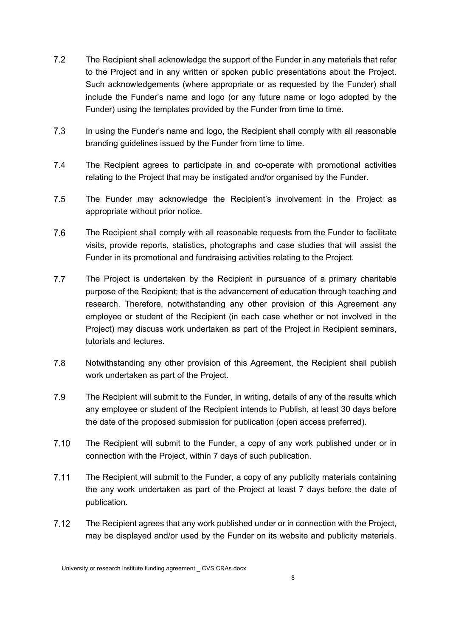- $7.2$ The Recipient shall acknowledge the support of the Funder in any materials that refer to the Project and in any written or spoken public presentations about the Project. Such acknowledgements (where appropriate or as requested by the Funder) shall include the Funder's name and logo (or any future name or logo adopted by the Funder) using the templates provided by the Funder from time to time.
- $7.3$ In using the Funder's name and logo, the Recipient shall comply with all reasonable branding guidelines issued by the Funder from time to time.
- $7.4$ The Recipient agrees to participate in and co-operate with promotional activities relating to the Project that may be instigated and/or organised by the Funder.
- 7.5 The Funder may acknowledge the Recipient's involvement in the Project as appropriate without prior notice.
- 7.6 The Recipient shall comply with all reasonable requests from the Funder to facilitate visits, provide reports, statistics, photographs and case studies that will assist the Funder in its promotional and fundraising activities relating to the Project.
- $7.7$ The Project is undertaken by the Recipient in pursuance of a primary charitable purpose of the Recipient; that is the advancement of education through teaching and research. Therefore, notwithstanding any other provision of this Agreement any employee or student of the Recipient (in each case whether or not involved in the Project) may discuss work undertaken as part of the Project in Recipient seminars, tutorials and lectures.
- $7.8$ Notwithstanding any other provision of this Agreement, the Recipient shall publish work undertaken as part of the Project.
- 7.9 The Recipient will submit to the Funder, in writing, details of any of the results which any employee or student of the Recipient intends to Publish, at least 30 days before the date of the proposed submission for publication (open access preferred).
- $7.10$ The Recipient will submit to the Funder, a copy of any work published under or in connection with the Project, within 7 days of such publication.
- $7.11$ The Recipient will submit to the Funder, a copy of any publicity materials containing the any work undertaken as part of the Project at least 7 days before the date of publication.
- $7.12$ The Recipient agrees that any work published under or in connection with the Project, may be displayed and/or used by the Funder on its website and publicity materials.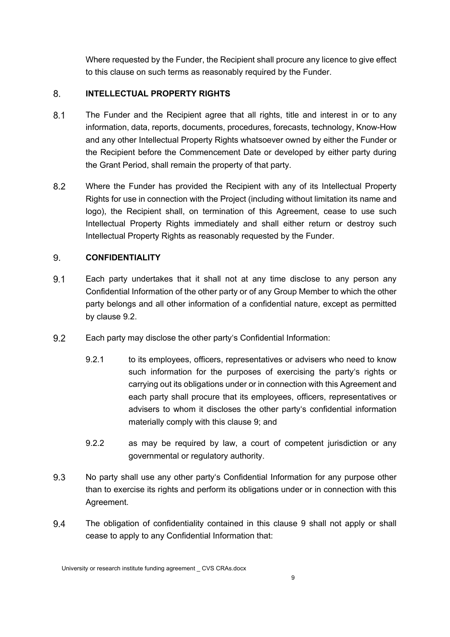Where requested by the Funder, the Recipient shall procure any licence to give effect to this clause on such terms as reasonably required by the Funder.

# 8. **INTELLECTUAL PROPERTY RIGHTS**

- $8.1$ The Funder and the Recipient agree that all rights, title and interest in or to any information, data, reports, documents, procedures, forecasts, technology, Know-How and any other Intellectual Property Rights whatsoever owned by either the Funder or the Recipient before the Commencement Date or developed by either party during the Grant Period, shall remain the property of that party.
- $8.2$ Where the Funder has provided the Recipient with any of its Intellectual Property Rights for use in connection with the Project (including without limitation its name and logo), the Recipient shall, on termination of this Agreement, cease to use such Intellectual Property Rights immediately and shall either return or destroy such Intellectual Property Rights as reasonably requested by the Funder.

# 9. **CONFIDENTIALITY**

- $9.1$ Each party undertakes that it shall not at any time disclose to any person any Confidential Information of the other party or of any Group Member to which the other party belongs and all other information of a confidential nature, except as permitted by clause 9.2.
- 9.2 Each party may disclose the other party's Confidential Information:
	- 9.2.1 to its employees, officers, representatives or advisers who need to know such information for the purposes of exercising the party's rights or carrying out its obligations under or in connection with this Agreement and each party shall procure that its employees, officers, representatives or advisers to whom it discloses the other party's confidential information materially comply with this clause 9; and
	- 9.2.2 as may be required by law, a court of competent jurisdiction or any governmental or regulatory authority.
- 9.3 No party shall use any other party's Confidential Information for any purpose other than to exercise its rights and perform its obligations under or in connection with this Agreement.
- 9.4 The obligation of confidentiality contained in this clause 9 shall not apply or shall cease to apply to any Confidential Information that: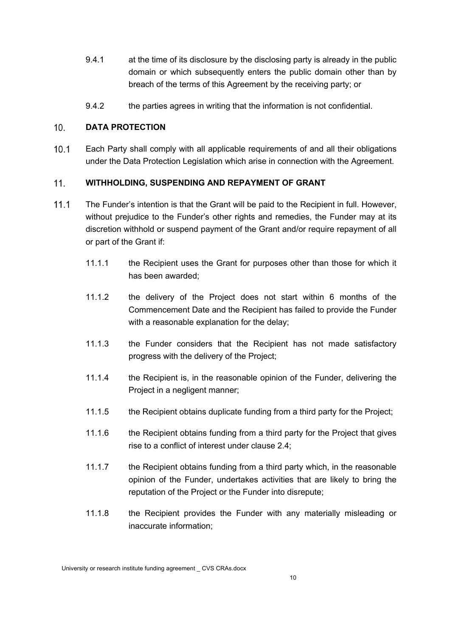- 9.4.1 at the time of its disclosure by the disclosing party is already in the public domain or which subsequently enters the public domain other than by breach of the terms of this Agreement by the receiving party; or
- 9.4.2 the parties agrees in writing that the information is not confidential.

### $10.$ **DATA PROTECTION**

 $10.1$ Each Party shall comply with all applicable requirements of and all their obligations under the Data Protection Legislation which arise in connection with the Agreement.

#### $11.$ **WITHHOLDING, SUSPENDING AND REPAYMENT OF GRANT**

- $11.1$ The Funder's intention is that the Grant will be paid to the Recipient in full. However, without prejudice to the Funder's other rights and remedies, the Funder may at its discretion withhold or suspend payment of the Grant and/or require repayment of all or part of the Grant if:
	- 11.1.1 the Recipient uses the Grant for purposes other than those for which it has been awarded;
	- 11.1.2 the delivery of the Project does not start within 6 months of the Commencement Date and the Recipient has failed to provide the Funder with a reasonable explanation for the delay;
	- 11.1.3 the Funder considers that the Recipient has not made satisfactory progress with the delivery of the Project;
	- 11.1.4 the Recipient is, in the reasonable opinion of the Funder, delivering the Project in a negligent manner;
	- 11.1.5 the Recipient obtains duplicate funding from a third party for the Project;
	- 11.1.6 the Recipient obtains funding from a third party for the Project that gives rise to a conflict of interest under clause 2.4;
	- 11.1.7 the Recipient obtains funding from a third party which, in the reasonable opinion of the Funder, undertakes activities that are likely to bring the reputation of the Project or the Funder into disrepute;
	- 11.1.8 the Recipient provides the Funder with any materially misleading or inaccurate information;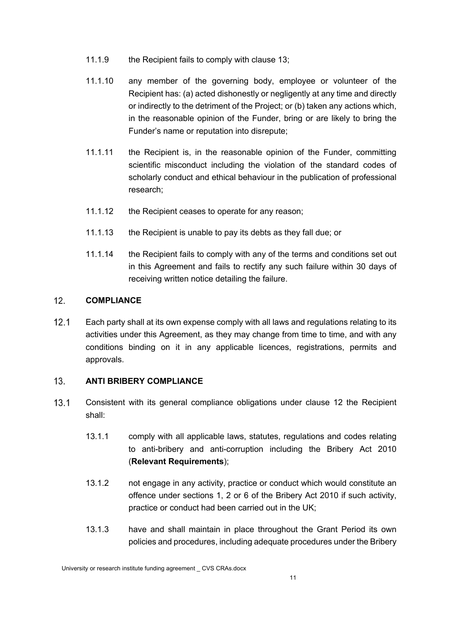- 11.1.9 the Recipient fails to comply with clause 13;
- 11.1.10 any member of the governing body, employee or volunteer of the Recipient has: (a) acted dishonestly or negligently at any time and directly or indirectly to the detriment of the Project; or (b) taken any actions which, in the reasonable opinion of the Funder, bring or are likely to bring the Funder's name or reputation into disrepute;
- 11.1.11 the Recipient is, in the reasonable opinion of the Funder, committing scientific misconduct including the violation of the standard codes of scholarly conduct and ethical behaviour in the publication of professional research;
- 11.1.12 the Recipient ceases to operate for any reason;
- 11.1.13 the Recipient is unable to pay its debts as they fall due; or
- 11.1.14 the Recipient fails to comply with any of the terms and conditions set out in this Agreement and fails to rectify any such failure within 30 days of receiving written notice detailing the failure.

#### $12.$ **COMPLIANCE**

 $12.1$ Each party shall at its own expense comply with all laws and regulations relating to its activities under this Agreement, as they may change from time to time, and with any conditions binding on it in any applicable licences, registrations, permits and approvals.

# $13<sub>1</sub>$ **ANTI BRIBERY COMPLIANCE**

- $13.1$ Consistent with its general compliance obligations under clause 12 the Recipient shall:
	- 13.1.1 comply with all applicable laws, statutes, regulations and codes relating to anti-bribery and anti-corruption including the Bribery Act 2010 (**Relevant Requirements**);
	- 13.1.2 not engage in any activity, practice or conduct which would constitute an offence under sections 1, 2 or 6 of the Bribery Act 2010 if such activity, practice or conduct had been carried out in the UK;
	- 13.1.3 have and shall maintain in place throughout the Grant Period its own policies and procedures, including adequate procedures under the Bribery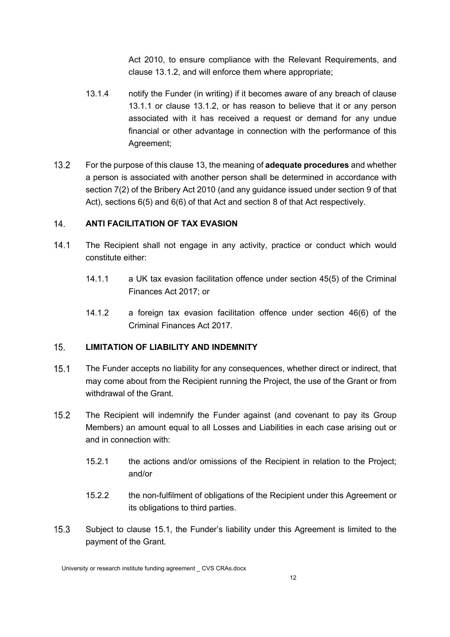Act 2010, to ensure compliance with the Relevant Requirements, and clause 13.1.2, and will enforce them where appropriate;

- 13.1.4 notify the Funder (in writing) if it becomes aware of any breach of clause 13.1.1 or clause 13.1.2, or has reason to believe that it or any person associated with it has received a request or demand for any undue financial or other advantage in connection with the performance of this Agreement;
- $13.2$ For the purpose of this clause 13, the meaning of **adequate procedures** and whether a person is associated with another person shall be determined in accordance with section 7(2) of the Bribery Act 2010 (and any guidance issued under section 9 of that Act), sections 6(5) and 6(6) of that Act and section 8 of that Act respectively.

# $14<sub>1</sub>$ **ANTI FACILITATION OF TAX EVASION**

- $14.1$ The Recipient shall not engage in any activity, practice or conduct which would constitute either:
	- 14.1.1 a UK tax evasion facilitation offence under section 45(5) of the Criminal Finances Act 2017; or
	- 14.1.2 a foreign tax evasion facilitation offence under section 46(6) of the Criminal Finances Act 2017.

# $15.$ **LIMITATION OF LIABILITY AND INDEMNITY**

- $15.1$ The Funder accepts no liability for any consequences, whether direct or indirect, that may come about from the Recipient running the Project, the use of the Grant or from withdrawal of the Grant.
- $15.2$ The Recipient will indemnify the Funder against (and covenant to pay its Group Members) an amount equal to all Losses and Liabilities in each case arising out or and in connection with:
	- 15.2.1 the actions and/or omissions of the Recipient in relation to the Project; and/or
	- 15.2.2 the non-fulfilment of obligations of the Recipient under this Agreement or its obligations to third parties.
- $15.3$ Subject to clause 15.1, the Funder's liability under this Agreement is limited to the payment of the Grant.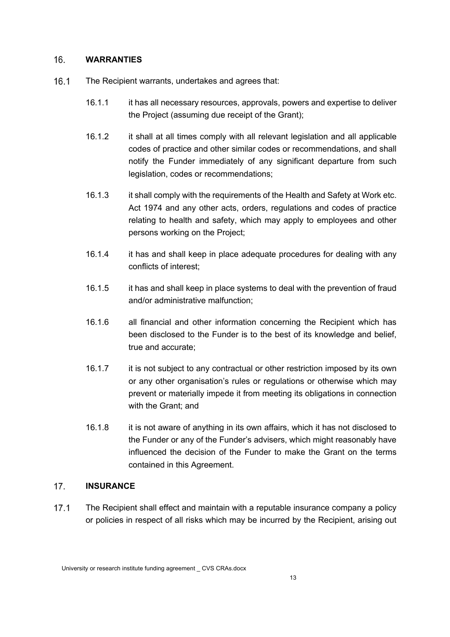#### $16.$ **WARRANTIES**

- $16.1$ The Recipient warrants, undertakes and agrees that:
	- 16.1.1 it has all necessary resources, approvals, powers and expertise to deliver the Project (assuming due receipt of the Grant);
	- 16.1.2 it shall at all times comply with all relevant legislation and all applicable codes of practice and other similar codes or recommendations, and shall notify the Funder immediately of any significant departure from such legislation, codes or recommendations;
	- 16.1.3 it shall comply with the requirements of the Health and Safety at Work etc. Act 1974 and any other acts, orders, regulations and codes of practice relating to health and safety, which may apply to employees and other persons working on the Project;
	- 16.1.4 it has and shall keep in place adequate procedures for dealing with any conflicts of interest;
	- 16.1.5 it has and shall keep in place systems to deal with the prevention of fraud and/or administrative malfunction;
	- 16.1.6 all financial and other information concerning the Recipient which has been disclosed to the Funder is to the best of its knowledge and belief, true and accurate;
	- 16.1.7 it is not subject to any contractual or other restriction imposed by its own or any other organisation's rules or regulations or otherwise which may prevent or materially impede it from meeting its obligations in connection with the Grant: and
	- 16.1.8 it is not aware of anything in its own affairs, which it has not disclosed to the Funder or any of the Funder's advisers, which might reasonably have influenced the decision of the Funder to make the Grant on the terms contained in this Agreement.

#### $17<sub>1</sub>$ **INSURANCE**

 $17.1$ The Recipient shall effect and maintain with a reputable insurance company a policy or policies in respect of all risks which may be incurred by the Recipient, arising out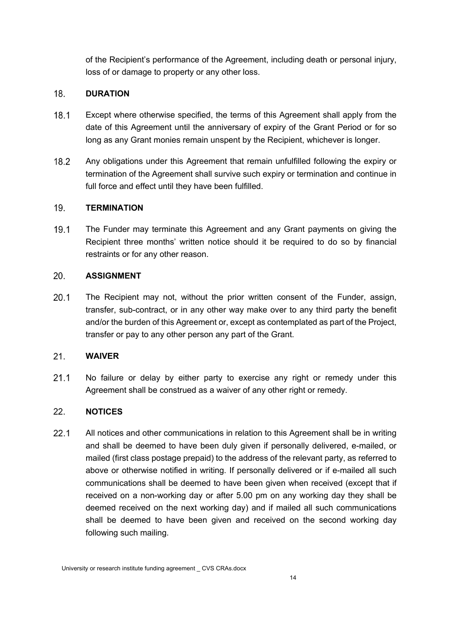of the Recipient's performance of the Agreement, including death or personal injury, loss of or damage to property or any other loss.

#### 18. **DURATION**

- $18.1$ Except where otherwise specified, the terms of this Agreement shall apply from the date of this Agreement until the anniversary of expiry of the Grant Period or for so long as any Grant monies remain unspent by the Recipient, whichever is longer.
- $18.2$ Any obligations under this Agreement that remain unfulfilled following the expiry or termination of the Agreement shall survive such expiry or termination and continue in full force and effect until they have been fulfilled.

#### $19.$ **TERMINATION**

 $19.1$ The Funder may terminate this Agreement and any Grant payments on giving the Recipient three months' written notice should it be required to do so by financial restraints or for any other reason.

#### 20. **ASSIGNMENT**

 $20.1$ The Recipient may not, without the prior written consent of the Funder, assign, transfer, sub-contract, or in any other way make over to any third party the benefit and/or the burden of this Agreement or, except as contemplated as part of the Project, transfer or pay to any other person any part of the Grant.

#### $21.$ **WAIVER**

 $21.1$ No failure or delay by either party to exercise any right or remedy under this Agreement shall be construed as a waiver of any other right or remedy.

# $22.$ **NOTICES**

 $22.1$ All notices and other communications in relation to this Agreement shall be in writing and shall be deemed to have been duly given if personally delivered, e-mailed, or mailed (first class postage prepaid) to the address of the relevant party, as referred to above or otherwise notified in writing. If personally delivered or if e-mailed all such communications shall be deemed to have been given when received (except that if received on a non-working day or after 5.00 pm on any working day they shall be deemed received on the next working day) and if mailed all such communications shall be deemed to have been given and received on the second working day following such mailing.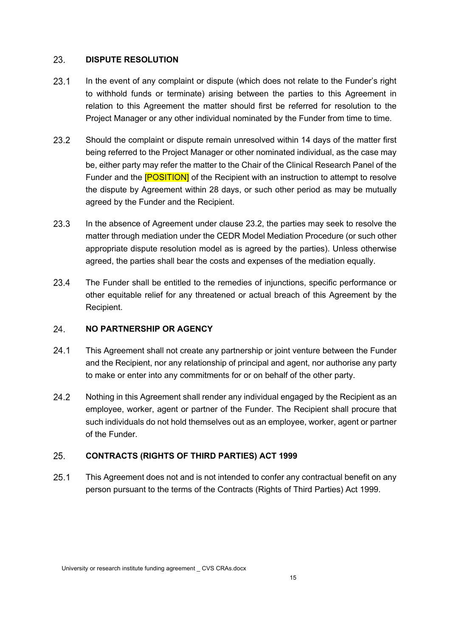#### 23. **DISPUTE RESOLUTION**

- $23.1$ In the event of any complaint or dispute (which does not relate to the Funder's right to withhold funds or terminate) arising between the parties to this Agreement in relation to this Agreement the matter should first be referred for resolution to the Project Manager or any other individual nominated by the Funder from time to time.
- $23.2$ Should the complaint or dispute remain unresolved within 14 days of the matter first being referred to the Project Manager or other nominated individual, as the case may be, either party may refer the matter to the Chair of the Clinical Research Panel of the Funder and the **[POSITION]** of the Recipient with an instruction to attempt to resolve the dispute by Agreement within 28 days, or such other period as may be mutually agreed by the Funder and the Recipient.
- $23.3$ In the absence of Agreement under clause 23.2, the parties may seek to resolve the matter through mediation under the CEDR Model Mediation Procedure (or such other appropriate dispute resolution model as is agreed by the parties). Unless otherwise agreed, the parties shall bear the costs and expenses of the mediation equally.
- $23.4$ The Funder shall be entitled to the remedies of injunctions, specific performance or other equitable relief for any threatened or actual breach of this Agreement by the Recipient.

# 24. **NO PARTNERSHIP OR AGENCY**

- $24.1$ This Agreement shall not create any partnership or joint venture between the Funder and the Recipient, nor any relationship of principal and agent, nor authorise any party to make or enter into any commitments for or on behalf of the other party.
- $24.2$ Nothing in this Agreement shall render any individual engaged by the Recipient as an employee, worker, agent or partner of the Funder. The Recipient shall procure that such individuals do not hold themselves out as an employee, worker, agent or partner of the Funder.

# 25. **CONTRACTS (RIGHTS OF THIRD PARTIES) ACT 1999**

 $25.1$ This Agreement does not and is not intended to confer any contractual benefit on any person pursuant to the terms of the Contracts (Rights of Third Parties) Act 1999.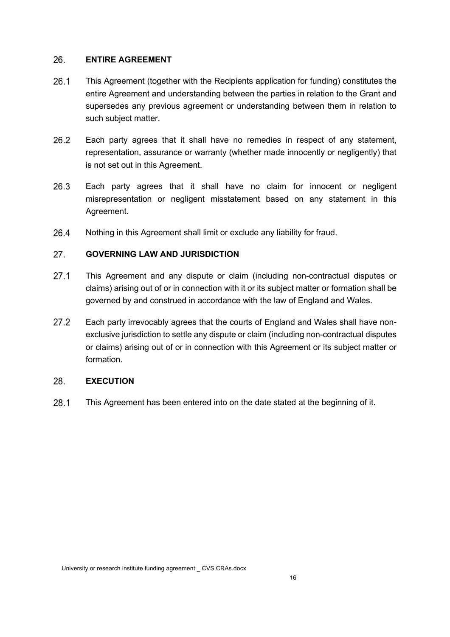#### 26. **ENTIRE AGREEMENT**

- $26.1$ This Agreement (together with the Recipients application for funding) constitutes the entire Agreement and understanding between the parties in relation to the Grant and supersedes any previous agreement or understanding between them in relation to such subject matter.
- $26.2$ Each party agrees that it shall have no remedies in respect of any statement, representation, assurance or warranty (whether made innocently or negligently) that is not set out in this Agreement.
- 26.3 Each party agrees that it shall have no claim for innocent or negligent misrepresentation or negligent misstatement based on any statement in this Agreement.
- 26.4 Nothing in this Agreement shall limit or exclude any liability for fraud.

# $27.$ **GOVERNING LAW AND JURISDICTION**

- $27.1$ This Agreement and any dispute or claim (including non-contractual disputes or claims) arising out of or in connection with it or its subject matter or formation shall be governed by and construed in accordance with the law of England and Wales.
- $27.2$ Each party irrevocably agrees that the courts of England and Wales shall have nonexclusive jurisdiction to settle any dispute or claim (including non-contractual disputes or claims) arising out of or in connection with this Agreement or its subject matter or formation.

#### 28. **EXECUTION**

28.1 This Agreement has been entered into on the date stated at the beginning of it.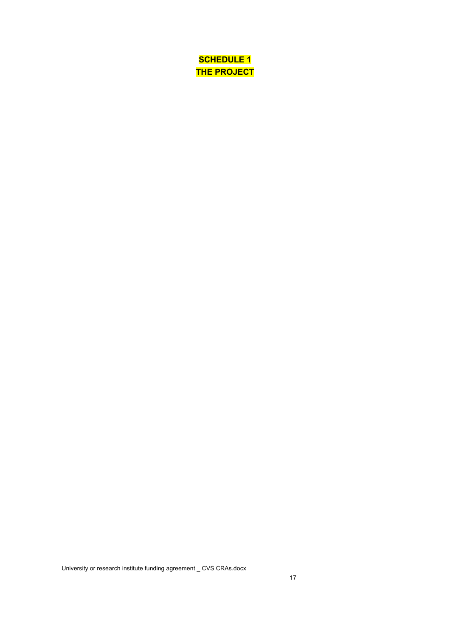**SCHEDULE 1 THE PROJECT**

University or research institute funding agreement \_ CVS CRAs.docx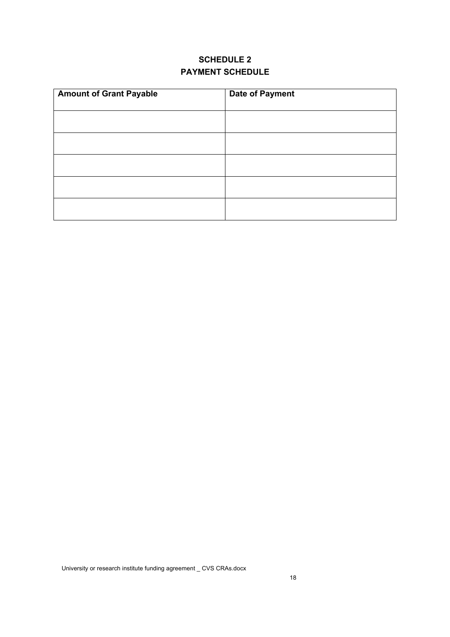# **SCHEDULE 2 PAYMENT SCHEDULE**

| <b>Amount of Grant Payable</b> | <b>Date of Payment</b> |
|--------------------------------|------------------------|
|                                |                        |
|                                |                        |
|                                |                        |
|                                |                        |
|                                |                        |
|                                |                        |
|                                |                        |
|                                |                        |
|                                |                        |
|                                |                        |
|                                |                        |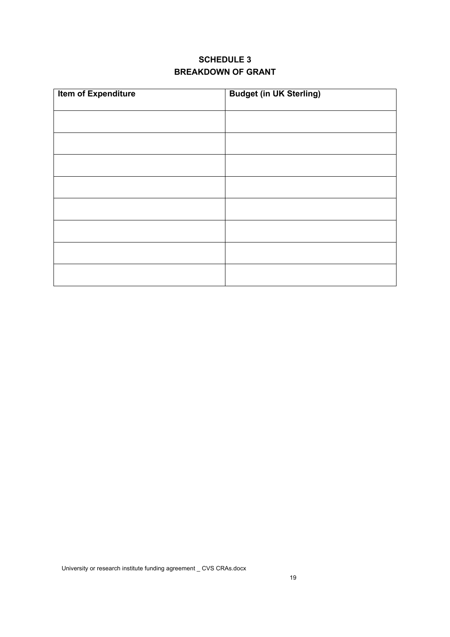# **SCHEDULE 3 BREAKDOWN OF GRANT**

| <b>Item of Expenditure</b> | <b>Budget (in UK Sterling)</b> |
|----------------------------|--------------------------------|
|                            |                                |
|                            |                                |
|                            |                                |
|                            |                                |
|                            |                                |
|                            |                                |
|                            |                                |
|                            |                                |